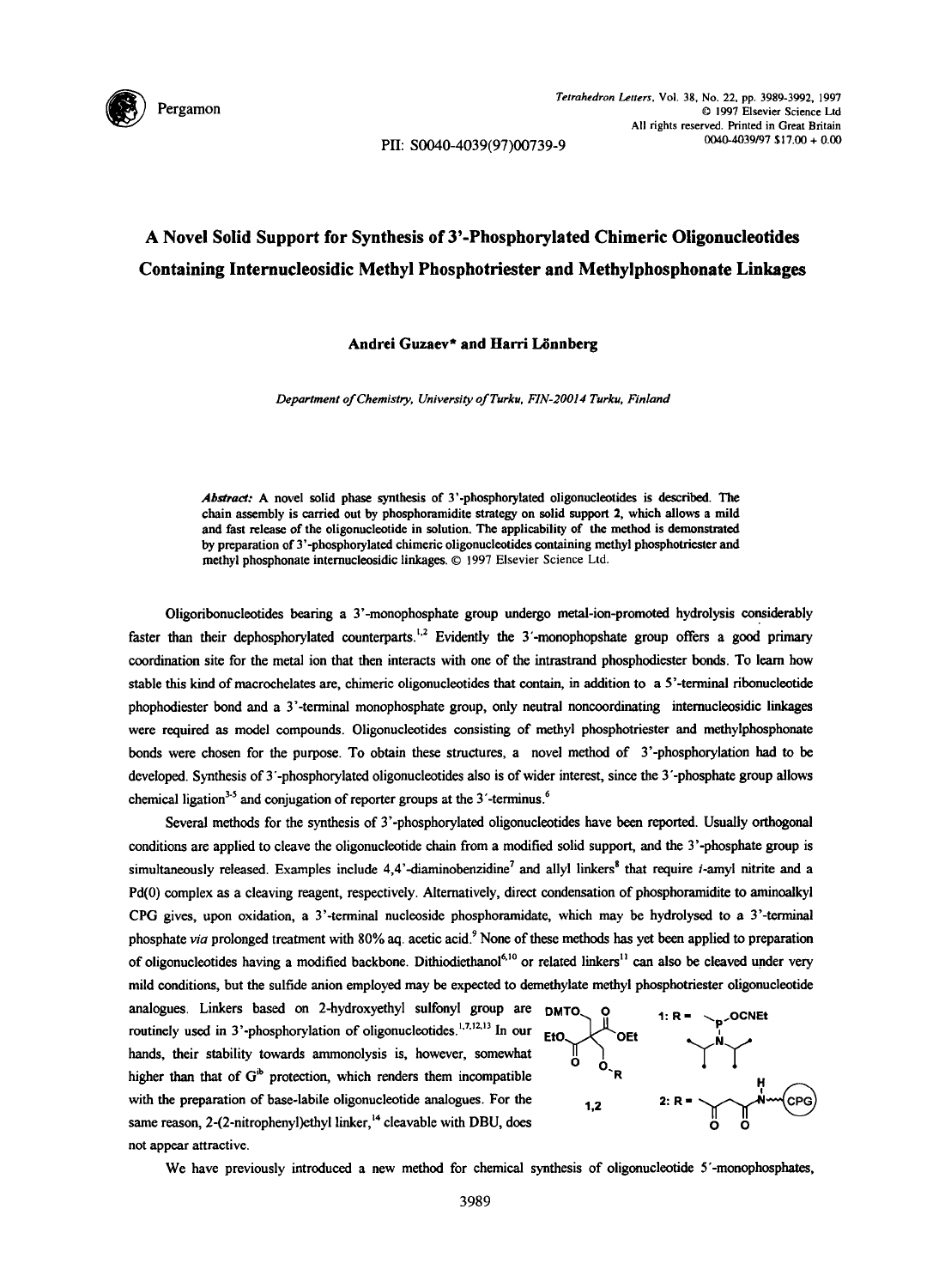

PII: S0040-4039(97)00739-9

## **A Novel Solid Support for Synthesis of 3'-Phosphorylated Chimeric Oligonucleotides Containing Internucleosidic Methyl Phosphotriester and Methylphosphonate Linkages**

## **Andrei Guzaev\* and Harri L6nnberg**

*Department of Chemistry, University of Turku, FIN-20014 Turku, Finland* 

Abstract: A novel solid phase synthesis of 3'-phosphorylated oligonucleotides is described. The chain assembly is carried out by phosphoramidite strategy on solid support 2, which allows a mild and fast release of the oligonueleotide in solution. The applicability of the method is demonstrated by preparation of 3'-phosphorylated chimeric oligonueleotides containing methyl phosphotriester and methyl phosphonate internuelcosidie linkages. © 1997 Elsevier Science Ltd.

Oligodbonuclcotides bearing a 3'-monophosphate group undergo metal-ion-promoted hydrolysis considerably faster than their dephosphorylated counterparts.<sup>1,2</sup> Evidently the  $3'$ -monophopshate group offers a good primary coordination site for the metal ion that then interacts with one of the intrastrand phosphodiester bonds. To learn how stable this kind of macrochelates are, chimeric oligonucleotides that contain, in addition to a 5'-terminal ribonuclcotide phophodiester bond and a 3"-terminal monophosphate group, only neutral noncoordinating intemucicosidic linkages were required as model compounds. Oligonucleotides consisting of methyl phosphotriester and methylphosphonate bonds were chosen for the purpose. To obtain these structures, a novel method of 3'-phosphorylation had to be developed. Synthesis of 3"-phosphorylated oligonucleotides also is of wider interest, since the 3"-phosphate group allows chemical ligation<sup>3-5</sup> and conjugation of reporter groups at the 3<sup>-</sup>terminus.<sup>6</sup>

Several methods for the synthesis of 3'-phosphorylated oligonucleotides have been reported. Usually orthogonal conditions are applied to cleave the oligonucleotide chain from a modified solid support, and the 3'-phosphate group is simultaneously released. Examples include  $4,4$ '-diaminobenzidine<sup>7</sup> and allyl linkers<sup>8</sup> that require *i*-amyl nitrite and a Pd(0) complex as a cleaving reagent, respectively. Alternatively, direct condensation of phosphoramidite to aminoalkyl CPG gives, upon oxidation, a 3'-terminal nueleoside phosphoramidate, which may be hydrolysed to a 3'-terminal phosphate via prolonged treatment with 80% aq. acetic acid.<sup>9</sup> None of these methods has yet been applied to preparation of oligonucleotides having a modified backbone. Dithiodiethanol<sup>6,10</sup> or related linkers<sup>11</sup> can also be cleaved under very mild conditions, but the sulfide anion employed may be expected to demethylate methyl phosphotriester oligonucleotide

analogues. Linkers based on 2-hydroxyethyl sulfonyl group are  $DMTO$ routinely used in 3'-phosphorylation of oligonucleotides.  $^{1,7,12,13}$  In our EtO. hands, their stability towards ammonolysis is, however, somewhat higher than that of  $G<sup>ib</sup>$  protection, which renders them incompatible with the preparation of base-labile oligonucleotide analogues. For the  $1.2$ same reason, 2-(2-nitrophenyl)ethyl linker,<sup>14</sup> cleavable with DBU, does not appear attractive.



We have previously introduced a new method for chemical synthesis of oligonucleotide 5'-monophosphates,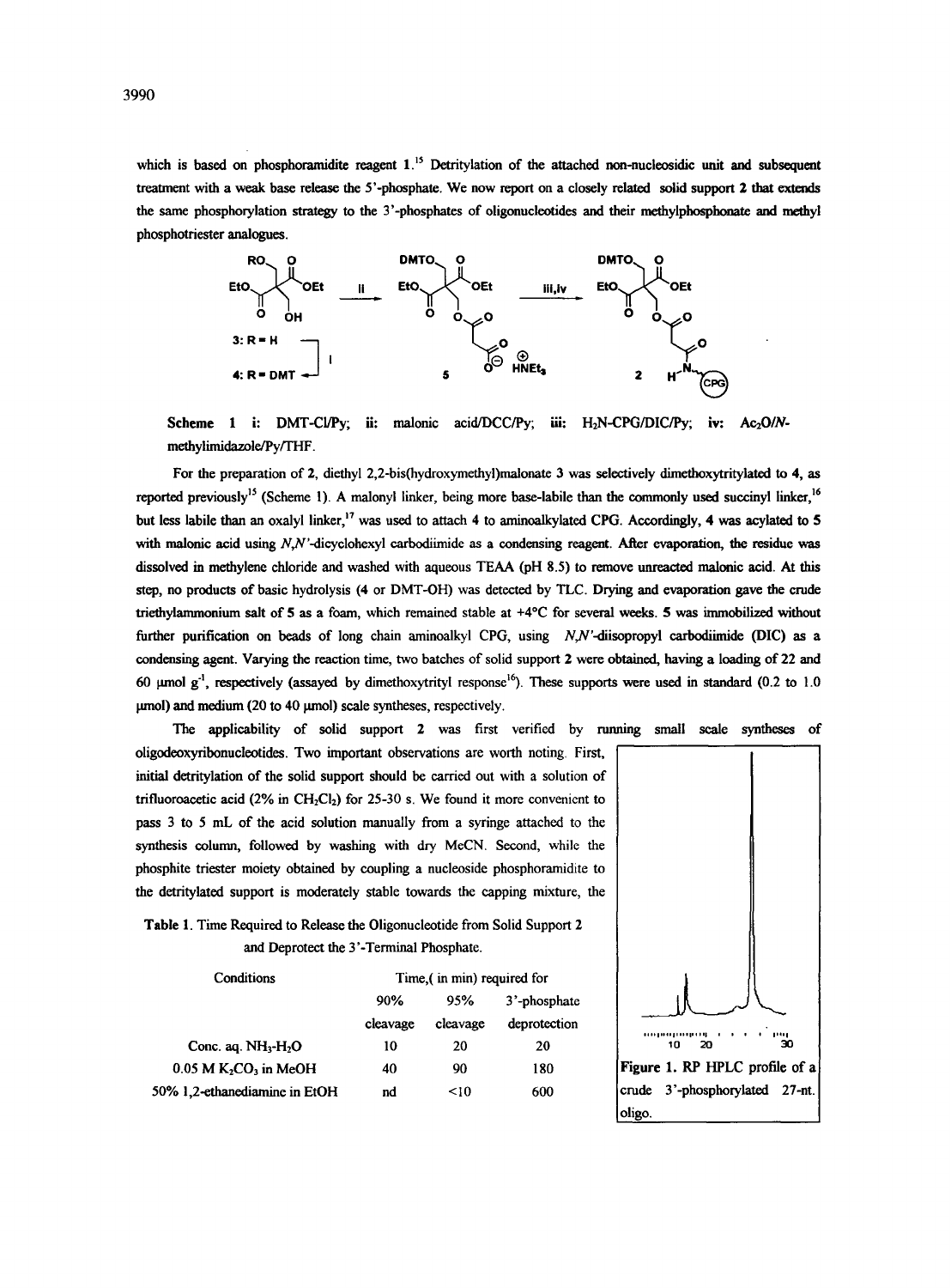which is based on phosphoramidite reagent  $1$ .<sup>15</sup> Detritylation of the attached non-nucleosidic unit and subsequent treatment with a weak base release the 5'-phosphate. We now report on a closely related solid support 2 that extends the same phosphorylation strategy to the 3'-phosphates of oligonucleotides and their methylphosphonate and methyl phosphotriester analogues.



Scheme 1 i: DMT-Cl/Py; ii: malonic acid/DCC/Py; iii: H<sub>2</sub>N-CPG/DIC/Py; iv: Ac<sub>2</sub>O/N**methylimidazole/Py/THF.** 

For the preparation of 2, diethyl 2,2-bis(hydroxymethyl)malonate 3 was selectively dimethoxytritylated to 4, as reported previously<sup>15</sup> (Scheme 1). A malonyl linker, being more base-labile than the commonly used succinyl linker, <sup>16</sup> but less labile than an oxalyl linker,<sup>17</sup> was used to attach 4 to aminoalkylated CPG. Accordingly, 4 was acylated to 5 with malonic acid using  $N$ , $N$ '-dicyclohexyl carbodiimide as a condensing reagent. After evaporation, the residue was dissolved in methylene chloride and washed with aqueous TEAA (pH 8.5) to remove unreaeted malonic acid. At this step, no products of basic hydrolysis (4 or DMT-OH) was detected by TLC. Drying and evaporation gave the crude triethylammonium salt of 5 as a foam, which remained stable at +4°C for several weeks. 5 was immobilized without further purification on beads of long chain aminoalkyl CPG, using N,N'-diisopropyl carbodiimide (DIC) as a condensing agent. Varying the reaction time, two batches of solid support 2 were obtained, having a loading of 22 and 60  $\mu$ mol g<sup>-1</sup>, respectively (assayed by dimethoxytrityl response<sup>16</sup>). These supports were used in standard (0.2 to 1.0  $\mu$ mol) and medium (20 to 40  $\mu$ mol) scale syntheses, respectively.

The applicability of solid support 2 was first verified by running small scale syntheses of oligodeoxyribonueleotides. Two important observations are worth noting. First, initial detritylation of the solid support should be carried out with a solution of trifluoroacetic acid (2% in CH<sub>2</sub>CI<sub>2</sub>) for 25-30 s. We found it more convenient to pass 3 to 5 mL of the acid solution manually from a syringe attached to the synthesis column, followed by washing with dry MeCN, Second, while the phosphite triester moiety obtained by coupling a nueleoside phosphoramidite to the detritylated support is moderately stable towards the capping mixture, the

Table 1. Time Required to Release the Oligonucleotide from Solid Support 2 and Deproteet the 3'-Terminal Phosphate.

| Conditions                    | Time, (in min) required for |          |              |
|-------------------------------|-----------------------------|----------|--------------|
|                               | 90%                         | 95%      | 3'-phosphate |
|                               | cleavage                    | cleavage | deprotection |
| Conc. aq. $NH3-H2O$           | 10                          | 20       | 20           |
| $0.05$ M $K2CO3$ in MeOH      | 40                          | 90       | 180          |
| 50% 1.2-ethanediamine in EtOH | nd                          | < 10     | 600          |

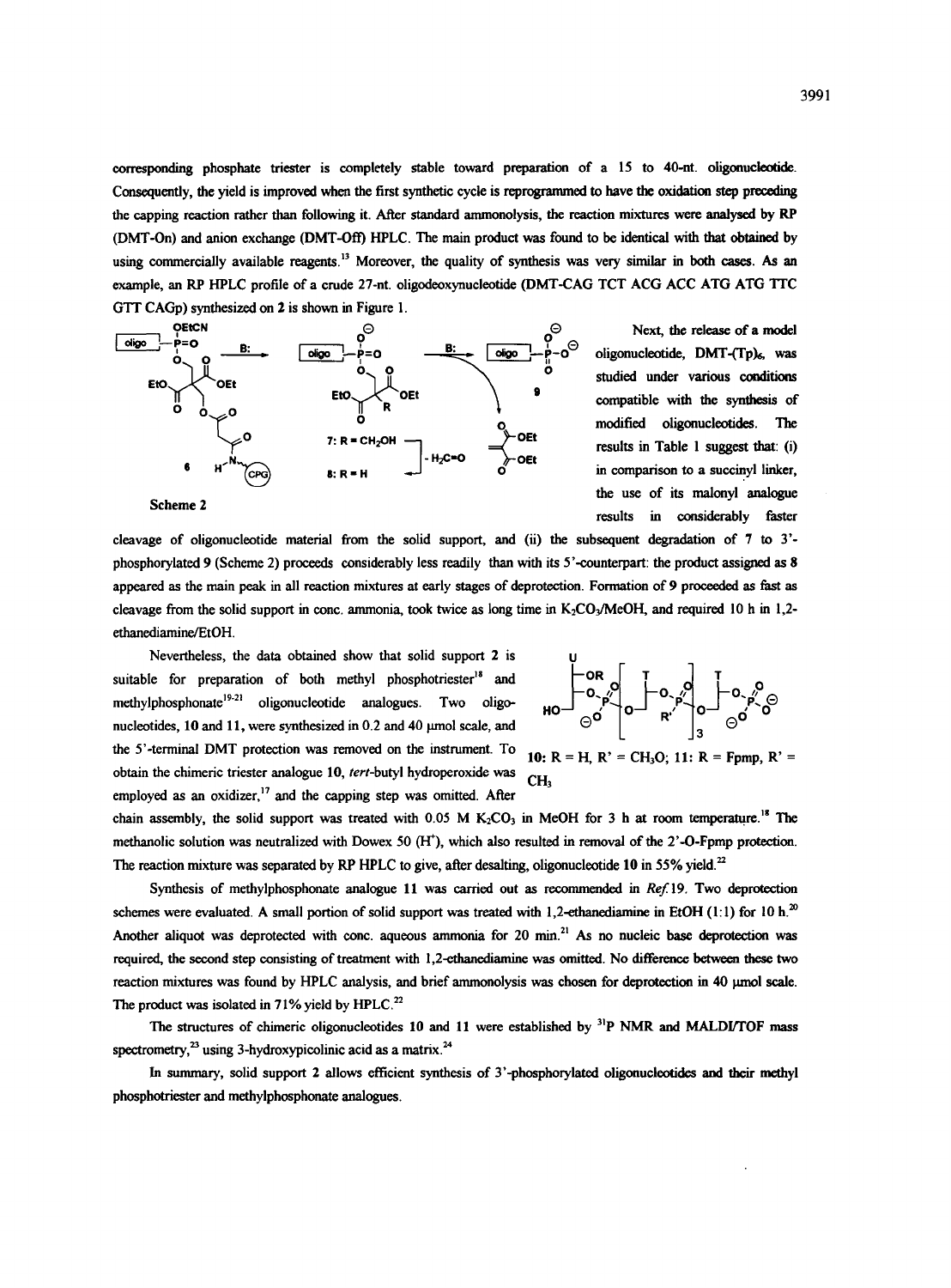corresponding phosphate triester is completely stable toward preparation of a 15 to 40-nt. oligonucleotide. Consequently, the yield is improved when the first synthetic cycle is reprogrammod to have the oxidation step preceding the capping reaction rather than following it. After standard ammonolysis, the reaction mixtures were analysed by RP (DMT-On) and anion exchange (DMT-Off) HPLC. The main product was found to be identical with that obtained by using commercially available reagents.<sup>13</sup> Moreover, the quality of synthesis was very similar in both cases. As an example, an RP HPLC profile of a crude 27-nt. oligodeoxynucleotide (DMT-CAG TCT ACG ACC ATG ATG TTC GTT CAGp) synthesized on 2 is shown in Figure 1.



Next, the release of a model oligonucleotide, DMT-(Tp)<sub>6</sub>, was studied under various conditions compatible with the synthesis of modified oligonucleotides. The results in Table 1 suggest that: (i) in comparison to a suecinyl linker, the use of its malonyl analogue results in considerably faster

ethanediamine/EtOH cleavage of oligonueleotide material from the solid support, and (ii) the subsequent degradation of 7 to 3' phosphorylated 9 (Scheme 2) proceeds considerably less readily than with its 5'-counterpart: the product assigned as 8 appeared as the main peak in all reaction mixtures at early stages of deprotection. Formation of 9 proceeded as fast as cleavage from the solid support in cone. ammonia, took twice as long time in  $K_2CO_3/MeOH$ , and required 10 h in 1,2-

Nevertheless, the data obtained show that solid support 2 is suitable for preparation of both methyl phosphotriester $18$  and  $methylphosphonate <sup>921</sup>$  oligonucleotide analogues. Two oligonucleotides,  $10$  and  $11$ , were synthesized in 0.2 and  $40$   $\mu$ mol scale, and the 5'-terminal DMT protection was removed on the instrument. To obtain the chimeric triester analogue 10, *tert*-butyl hydroperoxide was employed as an oxidizer, $17$  and the capping step was omitted. After



10:  $R = H$ ,  $R' = CH<sub>3</sub>O$ ; 11:  $R = Fpmp$ ,  $R' =$ CH<sub>3</sub>

chain assembly, the solid support was treated with  $0.05$  M K<sub>2</sub>CO<sub>3</sub> in MeOH for 3 h at room temperature.<sup>18</sup> The methanolic solution was neutralized with Dowex 50 (FF), which also resulted in removal of the 2'-O-Fpmp protection. The reaction mixture was separated by RP HPLC to give, after desalting, oligonucleotide 10 in 55% vield.<sup>22</sup>

Synthesis of methylphosphonate analogue 11 was carried out as recommended in *Ref. 19.* Two deprotection schemes were evaluated. A small portion of solid support was treated with 1,2-ethanediamine in EtOH (1:1) for 10 h.<sup>20</sup> Another aliquot was deprotected with cone. aqueous ammonia for 20 min.<sup>21</sup> As no nucleic base deprotection was required, the second step consisting of treatment with 1,2-ethanediamine was omitted. No difference between these two reaction mixtures was found by HPLC analysis, and brief ammonolysis was chosen for deprotection in 40 µmol scale. The product was isolated in 71% yield by HPLC.<sup>22</sup>

The structures of chimeric oligonucleotides 10 and 11 were established by <sup>31</sup>P NMR and MALDI/TOF mass spectrometry, $^{23}$  using 3-hydroxypicolinic acid as a matrix.<sup>24</sup>

In summary, solid support 2 allows efficient synthesis of 3'-phosphorylated oligonucleotides and their methyl phosphotriester and methylphosphonate analogues.